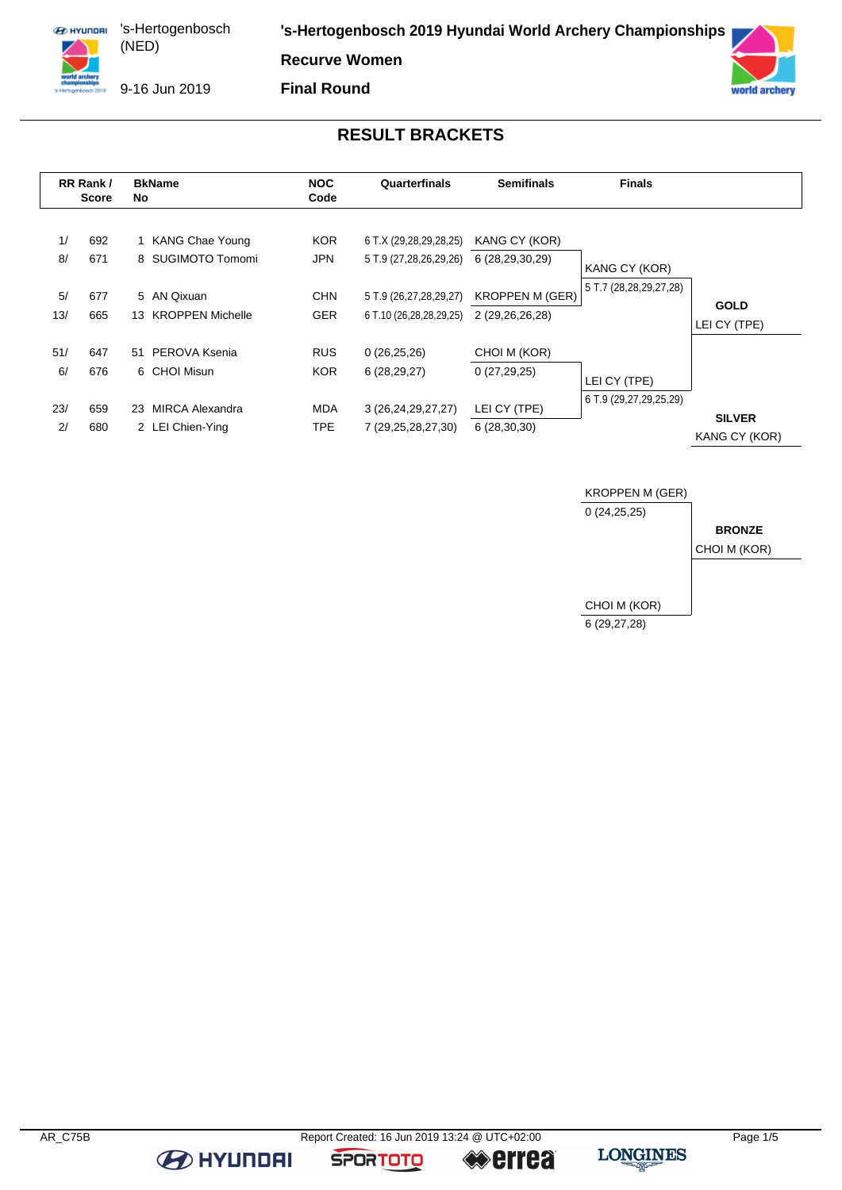**ED HYUNDRI** 's-Hertogenbosch (NED) 

**'s-Hertogenbosch 2019 Hyundai World Archery Championships**

**Recurve Women**

9-16 Jun 2019

**Final Round**



### **RESULT BRACKETS**

|          | RR Rank/<br><b>Score</b> | <b>BkName</b><br>No.                   | <b>NOC</b><br>Code       | Quarterfinals                                    | <b>Semifinals</b>                | <b>Finals</b>          |               |
|----------|--------------------------|----------------------------------------|--------------------------|--------------------------------------------------|----------------------------------|------------------------|---------------|
| 1/<br>8/ | 692<br>671               | 1 KANG Chae Young<br>8 SUGIMOTO Tomomi | <b>KOR</b><br><b>JPN</b> | 6 T.X (29,28,29,28,25)<br>5 T.9 (27,28,26,29,26) | KANG CY (KOR)<br>6 (28,29,30,29) |                        |               |
|          |                          |                                        |                          |                                                  |                                  | KANG CY (KOR)          |               |
| 5/       | 677                      | 5 AN Qixuan                            | <b>CHN</b>               | 5 T.9 (26,27,28,29,27)                           | <b>KROPPEN M (GER)</b>           | 5 T.7 (28,28,29,27,28) | <b>GOLD</b>   |
| 13/      | 665                      | 13 KROPPEN Michelle                    | <b>GER</b>               | 6 T.10 (26,28,28,29,25)                          | 2 (29,26,26,28)                  |                        | LEI CY (TPE)  |
| 51/      | 647                      | PEROVA Ksenia<br>51                    | <b>RUS</b>               | 0(26,25,26)                                      | CHOI M (KOR)                     |                        |               |
| 6/       | 676                      | 6 CHOI Misun                           | <b>KOR</b>               | 6(28, 29, 27)                                    | 0(27,29,25)                      | LEI CY (TPE)           |               |
| 23/      | 659                      | MIRCA Alexandra<br>23                  | <b>MDA</b>               | 3 (26, 24, 29, 27, 27)                           | LEI CY (TPE)                     | 6 T.9 (29,27,29,25,29) | <b>SILVER</b> |
| 2/       | 680                      | 2 LEI Chien-Ying                       | <b>TPE</b>               | 7 (29, 25, 28, 27, 30)                           | 6(28,30,30)                      |                        | KANG CY (KOR) |



**B** HYUNDAI

**SPORTOTO** 

**errea**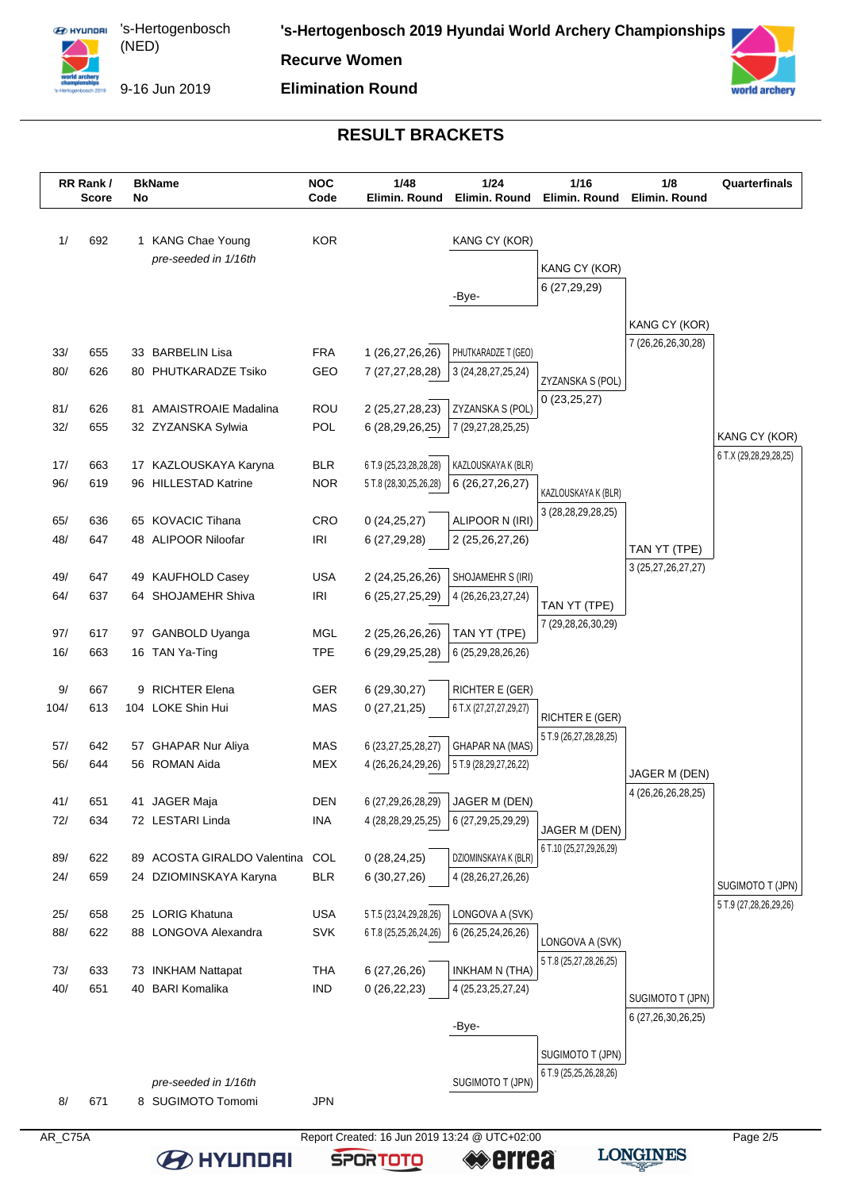

**EX HYUNDAI** 's-Hertogenbosch (NED) 

**'s-Hertogenbosch 2019 Hyundai World Archery Championships**

**Recurve Women**

9-16 Jun 2019

**BE HYUNDAI** 

**Elimination Round**



# **RESULT BRACKETS**

|            | RR Rank/<br><b>Score</b> | No | <b>BkName</b>                             | <b>NOC</b><br>Code       | 1/48<br>Elimin. Round                         | 1/24<br>Elimin. Round                     | 1/16<br>Elimin. Round                         | 1/8<br>Elimin. Round   | Quarterfinals                              |
|------------|--------------------------|----|-------------------------------------------|--------------------------|-----------------------------------------------|-------------------------------------------|-----------------------------------------------|------------------------|--------------------------------------------|
| 1/         | 692                      |    | 1 KANG Chae Young                         | <b>KOR</b>               |                                               | KANG CY (KOR)                             |                                               |                        |                                            |
|            |                          |    | pre-seeded in 1/16th                      |                          |                                               |                                           | KANG CY (KOR)                                 |                        |                                            |
|            |                          |    |                                           |                          |                                               | -Bye-                                     | 6 (27,29,29)                                  |                        |                                            |
|            |                          |    |                                           |                          |                                               |                                           |                                               | KANG CY (KOR)          |                                            |
| 33/        | 655                      |    | 33 BARBELIN Lisa                          | <b>FRA</b>               | 1 (26,27,26,26)                               | PHUTKARADZE T (GEO)                       |                                               | 7 (26,26,26,30,28)     |                                            |
| 80/        | 626                      |    | 80 PHUTKARADZE Tsiko                      | GEO                      | 7 (27, 27, 28, 28)                            | 3 (24, 28, 27, 25, 24)                    |                                               |                        |                                            |
|            |                          |    |                                           |                          |                                               |                                           | ZYZANSKA S (POL)<br>0(23,25,27)               |                        |                                            |
| 81/        | 626                      |    | 81 AMAISTROAIE Madalina                   | ROU                      | 2 (25,27,28,23)                               | ZYZANSKA S (POL)                          |                                               |                        |                                            |
| 32/        | 655                      |    | 32 ZYZANSKA Sylwia                        | POL                      | 6 (28,29,26,25)                               | 7 (29,27,28,25,25)                        |                                               |                        | KANG CY (KOR)                              |
| 17/        | 663                      |    | 17 KAZLOUSKAYA Karyna                     | <b>BLR</b>               | 6 T.9 (25,23,28,28,28)                        | KAZLOUSKAYA K (BLR)                       |                                               |                        | 6 T.X (29,28,29,28,25)                     |
| 96/        | 619                      |    | 96 HILLESTAD Katrine                      | <b>NOR</b>               | 5 T.8 (28,30,25,26,28)                        | 6 (26,27,26,27)                           |                                               |                        |                                            |
|            |                          |    |                                           |                          |                                               |                                           | KAZLOUSKAYA K (BLR)<br>3 (28, 28, 29, 28, 25) |                        |                                            |
| 65/        | 636                      |    | 65 KOVACIC Tihana                         | CRO                      | 0(24, 25, 27)                                 | ALIPOOR N (IRI)                           |                                               |                        |                                            |
| 48/        | 647                      |    | 48 ALIPOOR Niloofar                       | <b>IRI</b>               | 6(27, 29, 28)                                 | 2 (25,26,27,26)                           |                                               | TAN YT (TPE)           |                                            |
| 49/        | 647                      |    | 49 KAUFHOLD Casey                         | <b>USA</b>               | 2 (24,25,26,26)                               | SHOJAMEHR S (IRI)                         |                                               | 3 (25, 27, 26, 27, 27) |                                            |
| 64/        | 637                      |    | 64 SHOJAMEHR Shiva                        | <b>IRI</b>               | 6 (25,27,25,29)                               | 4 (26, 26, 23, 27, 24)                    |                                               |                        |                                            |
|            |                          |    |                                           |                          |                                               |                                           | TAN YT (TPE)                                  |                        |                                            |
| 97/        | 617                      |    | 97 GANBOLD Uyanga                         | <b>MGL</b>               | 2 (25,26,26,26)                               | TAN YT (TPE)                              | 7 (29,28,26,30,29)                            |                        |                                            |
| 16/        | 663                      |    | 16 TAN Ya-Ting                            | <b>TPE</b>               | 6 (29, 29, 25, 28)                            | 6 (25,29,28,26,26)                        |                                               |                        |                                            |
|            |                          |    | 9 RICHTER Elena                           |                          |                                               |                                           |                                               |                        |                                            |
| 9/<br>104/ | 667<br>613               |    | 104 LOKE Shin Hui                         | GER<br>MAS               | 6 (29,30,27)<br>0(27,21,25)                   | RICHTER E (GER)<br>6 T.X (27,27,27,29,27) |                                               |                        |                                            |
|            |                          |    |                                           |                          |                                               |                                           | RICHTER E (GER)                               |                        |                                            |
| 57/        | 642                      |    | 57 GHAPAR Nur Aliya                       | MAS                      | 6 (23,27,25,28,27)                            | <b>GHAPAR NA (MAS)</b>                    | 5 T.9 (26,27,28,28,25)                        |                        |                                            |
| 56/        | 644                      |    | 56 ROMAN Aida                             | <b>MEX</b>               | 4 (26,26,24,29,26)                            | 5 T.9 (28,29,27,26,22)                    |                                               | JAGER M (DEN)          |                                            |
|            |                          |    |                                           |                          |                                               |                                           |                                               | 4 (26, 26, 26, 28, 25) |                                            |
| 41/        | 651<br>634               |    | 41 JAGER Maja<br>72 LESTARI Linda         | <b>DEN</b><br><b>INA</b> | 6 (27,29,26,28,29)                            | JAGER M (DEN)<br>6 (27,29,25,29,29)       |                                               |                        |                                            |
| 72/        |                          |    |                                           |                          | 4 (28, 28, 29, 25, 25)                        |                                           | JAGER M (DEN)                                 |                        |                                            |
| 89/        | 622                      |    | 89 ACOSTA GIRALDO Valentina               | COL                      | 0(28, 24, 25)                                 | DZIOMINSKAYA K (BLR)                      | 6 T.10 (25,27,29,26,29)                       |                        |                                            |
| 24/        | 659                      |    | 24 DZIOMINSKAYA Karyna                    | <b>BLR</b>               | 6(30,27,26)                                   | 4 (28, 26, 27, 26, 26)                    |                                               |                        |                                            |
|            |                          |    |                                           |                          |                                               |                                           |                                               |                        | SUGIMOTO T (JPN)<br>5 T.9 (27,28,26,29,26) |
| 25/        | 658                      |    | 25 LORIG Khatuna                          | <b>USA</b>               | 5 T.5 (23,24,29,28,26)                        | LONGOVA A (SVK)                           |                                               |                        |                                            |
| 88/        | 622                      |    | 88 LONGOVA Alexandra                      | SVK                      | 6 T.8 (25,25,26,24,26)                        | 6 (26,25,24,26,26)                        | LONGOVA A (SVK)                               |                        |                                            |
| 73/        | 633                      |    | 73 INKHAM Nattapat                        | THA                      | 6(27,26,26)                                   | INKHAM N (THA)                            | 5 T.8 (25,27,28,26,25)                        |                        |                                            |
| 40/        | 651                      |    | 40 BARI Komalika                          | <b>IND</b>               | 0(26, 22, 23)                                 | 4 (25, 23, 25, 27, 24)                    |                                               |                        |                                            |
|            |                          |    |                                           |                          |                                               |                                           |                                               | SUGIMOTO T (JPN)       |                                            |
|            |                          |    |                                           |                          |                                               | -Bye-                                     |                                               | 6 (27,26,30,26,25)     |                                            |
|            |                          |    |                                           |                          |                                               |                                           | SUGIMOTO T (JPN)                              |                        |                                            |
|            |                          |    |                                           |                          |                                               |                                           | 6 T.9 (25,25,26,28,26)                        |                        |                                            |
| 8/         | 671                      |    | pre-seeded in 1/16th<br>8 SUGIMOTO Tomomi | <b>JPN</b>               |                                               | SUGIMOTO T (JPN)                          |                                               |                        |                                            |
|            |                          |    |                                           |                          |                                               |                                           |                                               |                        |                                            |
| AR_C75A    |                          |    |                                           |                          | Report Created: 16 Jun 2019 13:24 @ UTC+02:00 |                                           |                                               |                        | Page 2/5                                   |

**LONGINES** 

**errea** 

**SPORTOTO**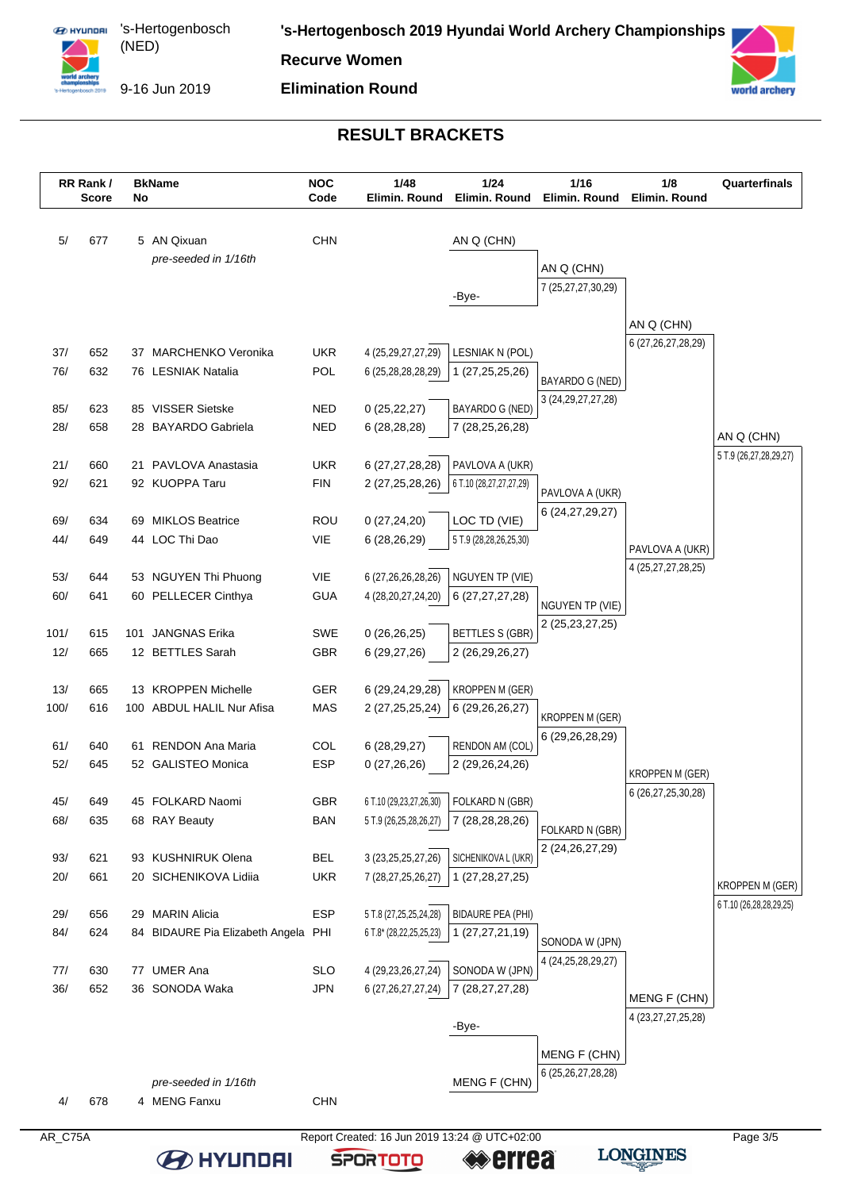

's-Hertogenbosch (NED) 

**'s-Hertogenbosch 2019 Hyundai World Archery Championships**

**Recurve Women**

9-16 Jun 2019 **Elimination Round**

**orld archery** 

### **RESULT BRACKETS**

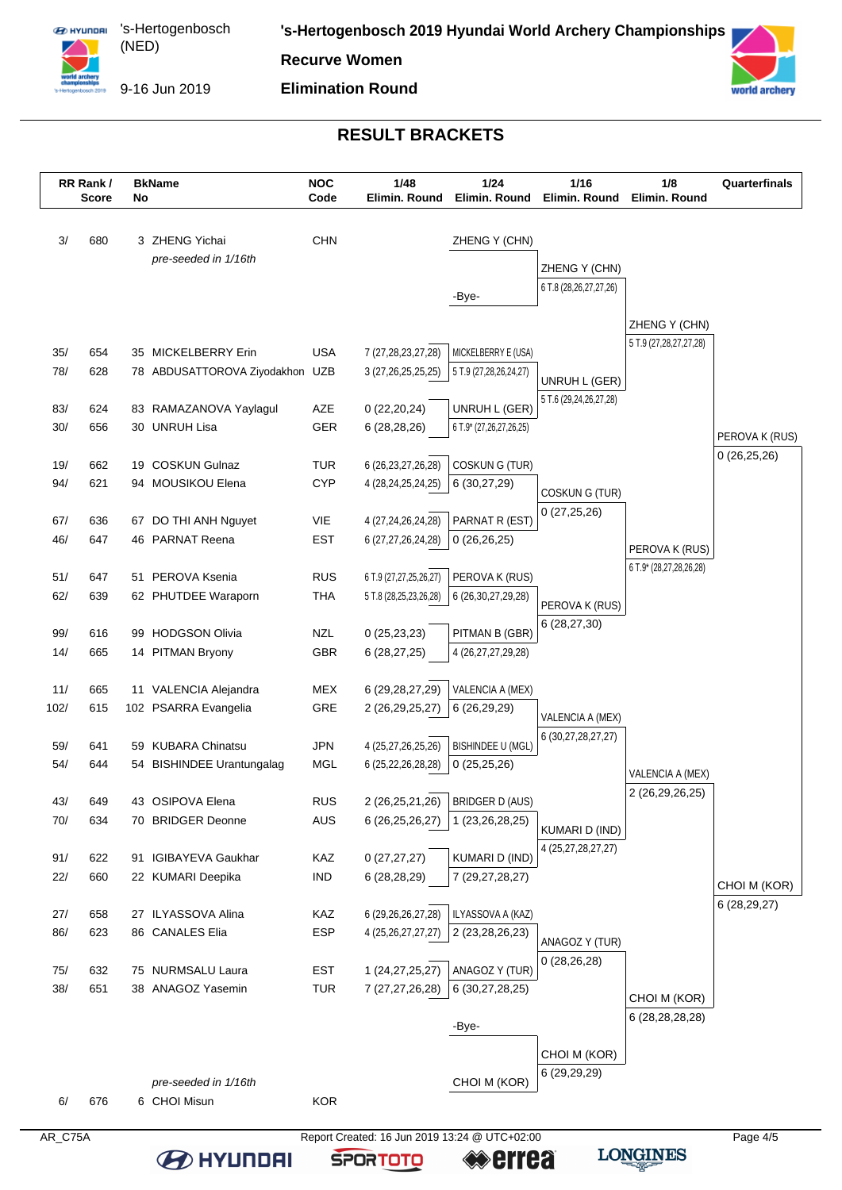

's-Hertogenbosch (NED) 

**'s-Hertogenbosch 2019 Hyundai World Archery Championships**

**Recurve Women**

9-16 Jun 2019 **Elimination Round**



#### **RESULT BRACKETS**



**LONGINES** 

≪errea

**SPORTOTO** 

**BEITHER**